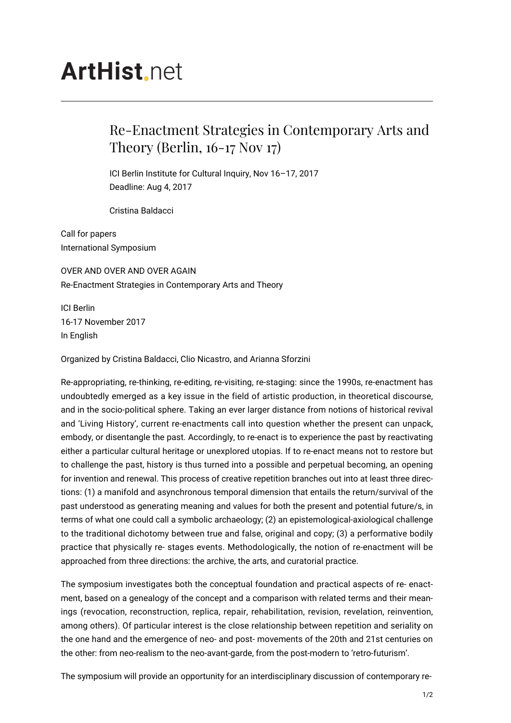## **ArtHist.net**

## Re-Enactment Strategies in Contemporary Arts and Theory (Berlin, 16-17 Nov 17)

ICI Berlin Institute for Cultural Inquiry, Nov 16–17, 2017 Deadline: Aug 4, 2017

Cristina Baldacci

Call for papers International Symposium

OVER AND OVER AND OVER AGAIN Re-Enactment Strategies in Contemporary Arts and Theory

ICI Berlin 16-17 November 2017 In English

Organized by Cristina Baldacci, Clio Nicastro, and Arianna Sforzini

Re-appropriating, re-thinking, re-editing, re-visiting, re-staging: since the 1990s, re-enactment has undoubtedly emerged as a key issue in the field of artistic production, in theoretical discourse, and in the socio-political sphere. Taking an ever larger distance from notions of historical revival and 'Living History', current re-enactments call into question whether the present can unpack, embody, or disentangle the past. Accordingly, to re-enact is to experience the past by reactivating either a particular cultural heritage or unexplored utopias. If to re-enact means not to restore but to challenge the past, history is thus turned into a possible and perpetual becoming, an opening for invention and renewal. This process of creative repetition branches out into at least three directions: (1) a manifold and asynchronous temporal dimension that entails the return/survival of the past understood as generating meaning and values for both the present and potential future/s, in terms of what one could call a symbolic archaeology; (2) an epistemological-axiological challenge to the traditional dichotomy between true and false, original and copy; (3) a performative bodily practice that physically re- stages events. Methodologically, the notion of re-enactment will be approached from three directions: the archive, the arts, and curatorial practice.

The symposium investigates both the conceptual foundation and practical aspects of re- enactment, based on a genealogy of the concept and a comparison with related terms and their meanings (revocation, reconstruction, replica, repair, rehabilitation, revision, revelation, reinvention, among others). Of particular interest is the close relationship between repetition and seriality on the one hand and the emergence of neo- and post- movements of the 20th and 21st centuries on the other: from neo-realism to the neo-avant-garde, from the post-modern to 'retro-futurism'.

The symposium will provide an opportunity for an interdisciplinary discussion of contemporary re-